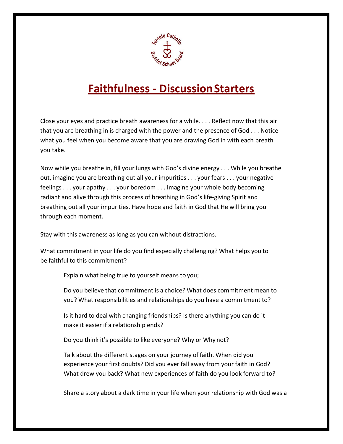

## **Faithfulness - DiscussionStarters**

Close your eyes and practice breath awareness for a while. . . . Reflect now that this air that you are breathing in is charged with the power and the presence of God . . . Notice what you feel when you become aware that you are drawing God in with each breath you take.

Now while you breathe in, fill your lungs with God's divine energy . . . While you breathe out, imagine you are breathing out all your impurities . . . your fears . . . your negative feelings . . . your apathy . . . your boredom . . . Imagine your whole body becoming radiant and alive through this process of breathing in God's life-giving Spirit and breathing out all your impurities. Have hope and faith in God that He will bring you through each moment.

Stay with this awareness as long as you can without distractions.

What commitment in your life do you find especially challenging? What helps you to be faithful to this commitment?

Explain what being true to yourself means to you;

Do you believe that commitment is a choice? What does commitment mean to you? What responsibilities and relationships do you have a commitment to?

Is it hard to deal with changing friendships? Is there anything you can do it make it easier if a relationship ends?

Do you think it's possible to like everyone? Why or Why not?

Talk about the different stages on your journey of faith. When did you experience your first doubts? Did you ever fall away from your faith in God? What drew you back? What new experiences of faith do you look forward to?

Share a story about a dark time in your life when your relationship with God was a